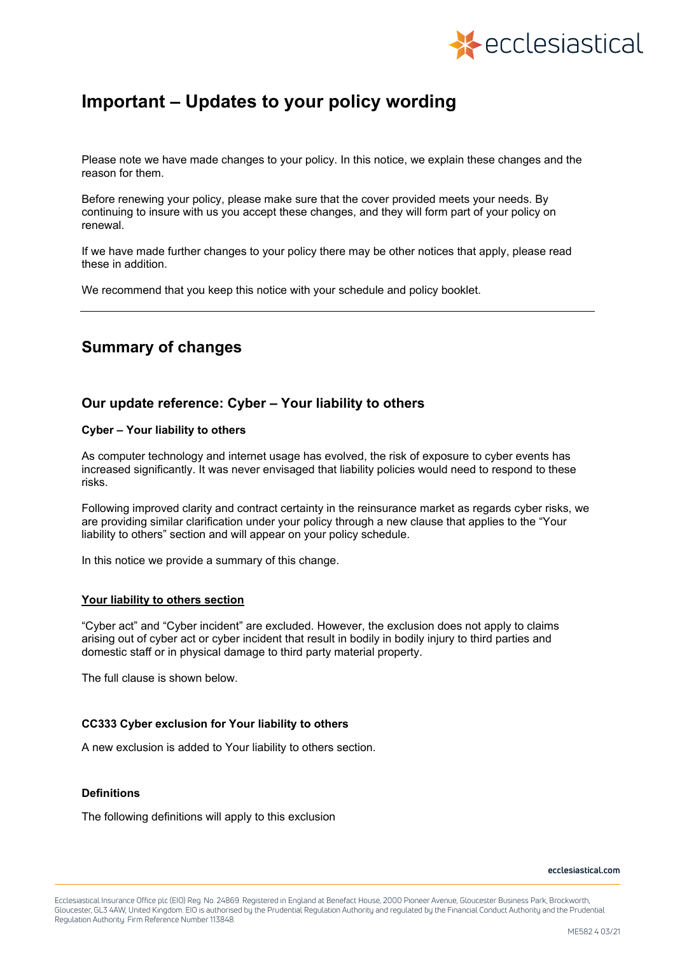

# **Important – Updates to your policy wording**

Please note we have made changes to your policy. In this notice, we explain these changes and the reason for them.

Before renewing your policy, please make sure that the cover provided meets your needs. By continuing to insure with us you accept these changes, and they will form part of your policy on renewal.

If we have made further changes to your policy there may be other notices that apply, please read these in addition.

We recommend that you keep this notice with your schedule and policy booklet.

## **Summary of changes**

### **Our update reference: Cyber – Your liability to others**

#### **Cyber – Your liability to others**

As computer technology and internet usage has evolved, the risk of exposure to cyber events has increased significantly. It was never envisaged that liability policies would need to respond to these risks.

Following improved clarity and contract certainty in the reinsurance market as regards cyber risks, we are providing similar clarification under your policy through a new clause that applies to the "Your liability to others" section and will appear on your policy schedule.

In this notice we provide a summary of this change.

#### **Your liability to others section**

"Cyber act" and "Cyber incident" are excluded. However, the exclusion does not apply to claims arising out of cyber act or cyber incident that result in bodily in bodily injury to third parties and domestic staff or in physical damage to third party material property.

The full clause is shown below.

#### **CC333 Cyber exclusion for Your liability to others**

A new exclusion is added to Your liability to others section.

#### **Definitions**

The following definitions will apply to this exclusion

**ecclesiastical.com**

Ecclesiastical Insurance Office plc (EIO) Reg. No. 24869. Registered in England at Benefact House, 2000 Pioneer Avenue, Gloucester Business Park, Brockworth, Gloucester, GL3 4AW, United Kingdom. EIO is authorised by the Prudential Regulation Authority and regulated by the Financial Conduct Authority and the Prudential Regulation Authority. Firm Reference Number 113848.